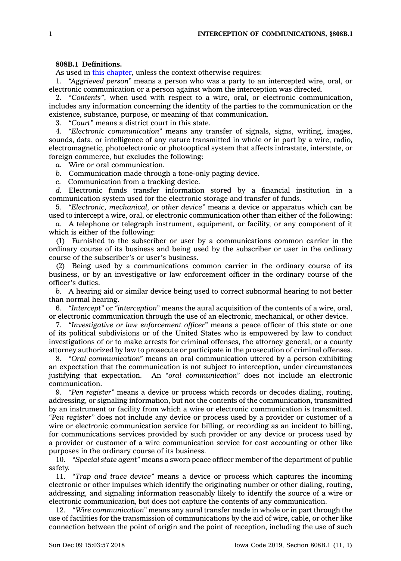## **808B.1 Definitions.**

As used in this [chapter](https://www.legis.iowa.gov/docs/code//808B.pdf), unless the context otherwise requires:

1. *"Aggrieved person"* means <sup>a</sup> person who was <sup>a</sup> party to an intercepted wire, oral, or electronic communication or <sup>a</sup> person against whom the interception was directed.

2. *"Contents"*, when used with respect to <sup>a</sup> wire, oral, or electronic communication, includes any information concerning the identity of the parties to the communication or the existence, substance, purpose, or meaning of that communication.

3. *"Court"* means <sup>a</sup> district court in this state.

4. *"Electronic communication"* means any transfer of signals, signs, writing, images, sounds, data, or intelligence of any nature transmitted in whole or in part by <sup>a</sup> wire, radio, electromagnetic, photoelectronic or photooptical system that affects intrastate, interstate, or foreign commerce, but excludes the following:

*a.* Wire or oral communication.

*b.* Communication made through <sup>a</sup> tone-only paging device.

*c.* Communication from <sup>a</sup> tracking device.

*d.* Electronic funds transfer information stored by <sup>a</sup> financial institution in <sup>a</sup> communication system used for the electronic storage and transfer of funds.

5. *"Electronic, mechanical, or other device"* means <sup>a</sup> device or apparatus which can be used to intercept <sup>a</sup> wire, oral, or electronic communication other than either of the following:

*a.* A telephone or telegraph instrument, equipment, or facility, or any component of it which is either of the following:

(1) Furnished to the subscriber or user by <sup>a</sup> communications common carrier in the ordinary course of its business and being used by the subscriber or user in the ordinary course of the subscriber's or user's business.

(2) Being used by <sup>a</sup> communications common carrier in the ordinary course of its business, or by an investigative or law enforcement officer in the ordinary course of the officer's duties.

*b.* A hearing aid or similar device being used to correct subnormal hearing to not better than normal hearing.

6. *"Intercept"* or *"interception"* means the aural acquisition of the contents of <sup>a</sup> wire, oral, or electronic communication through the use of an electronic, mechanical, or other device.

7. *"Investigative or law enforcement officer"* means <sup>a</sup> peace officer of this state or one of its political subdivisions or of the United States who is empowered by law to conduct investigations of or to make arrests for criminal offenses, the attorney general, or <sup>a</sup> county attorney authorized by law to prosecute or participate in the prosecution of criminal offenses.

8. *"Oral communication"* means an oral communication uttered by <sup>a</sup> person exhibiting an expectation that the communication is not subject to interception, under circumstances justifying that expectation. An *"oral communication"* does not include an electronic communication.

9. *"Pen register"* means <sup>a</sup> device or process which records or decodes dialing, routing, addressing, or signaling information, but not the contents of the communication, transmitted by an instrument or facility from which <sup>a</sup> wire or electronic communication is transmitted. *"Pen register"* does not include any device or process used by <sup>a</sup> provider or customer of <sup>a</sup> wire or electronic communication service for billing, or recording as an incident to billing, for communications services provided by such provider or any device or process used by <sup>a</sup> provider or customer of <sup>a</sup> wire communication service for cost accounting or other like purposes in the ordinary course of its business.

10. *"Special state agent"* means <sup>a</sup> sworn peace officer member of the department of public safety.

11. *"Trap and trace device"* means <sup>a</sup> device or process which captures the incoming electronic or other impulses which identify the originating number or other dialing, routing, addressing, and signaling information reasonably likely to identify the source of <sup>a</sup> wire or electronic communication, but does not capture the contents of any communication.

12. *"Wire communication"* means any aural transfer made in whole or in part through the use of facilities for the transmission of communications by the aid of wire, cable, or other like connection between the point of origin and the point of reception, including the use of such